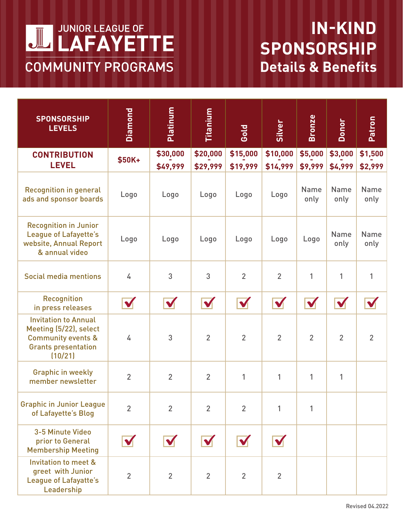

## **IN-KIND SPONSORSHIP Details & Benefits**

| <b>SPONSORSHIP</b><br><b>LEVELS</b>                                                                                             | Diamond              | Platinum             | <b>Titanium</b>      | Gold                 | Silver               | <b>Bronze</b>       | Donor               | Patron              |
|---------------------------------------------------------------------------------------------------------------------------------|----------------------|----------------------|----------------------|----------------------|----------------------|---------------------|---------------------|---------------------|
| <b>CONTRIBUTION</b><br><b>LEVEL</b>                                                                                             | \$50K+               | \$30,000<br>\$49,999 | \$20,000<br>\$29,999 | \$15,000<br>\$19,999 | \$10,000<br>\$14,999 | \$5,000<br>\$9,999  | \$3,000<br>\$4,999  | \$1,500<br>\$2,999  |
| <b>Recognition in general</b><br>ads and sponsor boards                                                                         | Logo                 | Logo                 | Logo                 | Logo                 | Logo                 | <b>Name</b><br>only | <b>Name</b><br>only | <b>Name</b><br>only |
| <b>Recognition in Junior</b><br><b>League of Lafayette's</b><br>website, Annual Report<br>& annual video                        | Logo                 | Logo                 | Logo                 | Logo                 | Logo                 | Logo                | <b>Name</b><br>only | <b>Name</b><br>only |
| <b>Social media mentions</b>                                                                                                    | 4                    | 3                    | 3                    | $\overline{2}$       | $\overline{2}$       | 1                   | 1                   | $\mathbf{1}$        |
| <b>Recognition</b><br>in press releases                                                                                         | $\blacktriangledown$ | $\blacktriangledown$ | $\blacktriangledown$ | $\blacktriangledown$ | $\blacktriangledown$ |                     |                     |                     |
| <b>Invitation to Annual</b><br>Meeting (5/22), select<br><b>Community events &amp;</b><br><b>Grants presentation</b><br>(10/21) | 4                    | 3                    | $\overline{2}$       | $\overline{2}$       | $\overline{2}$       | $\overline{2}$      | $\overline{2}$      | $\overline{2}$      |
| <b>Graphic in weekly</b><br>member newsletter                                                                                   | $\overline{2}$       | $\overline{2}$       | $\overline{2}$       | 1                    | 1                    | 1                   | $\mathbf{1}$        |                     |
| <b>Graphic in Junior League</b><br>of Lafayette's Blog                                                                          | $\overline{2}$       | $\overline{2}$       | $\overline{2}$       | $\overline{2}$       | 1                    | 1                   |                     |                     |
| 3-5 Minute Video<br>prior to General<br><b>Membership Meeting</b>                                                               |                      |                      |                      |                      |                      |                     |                     |                     |
| <b>Invitation to meet &amp;</b><br>greet with Junior<br><b>League of Lafayatte's</b><br>Leadership                              | $\overline{2}$       | $\overline{2}$       | $\overline{2}$       | $\overline{2}$       | $\overline{2}$       |                     |                     |                     |